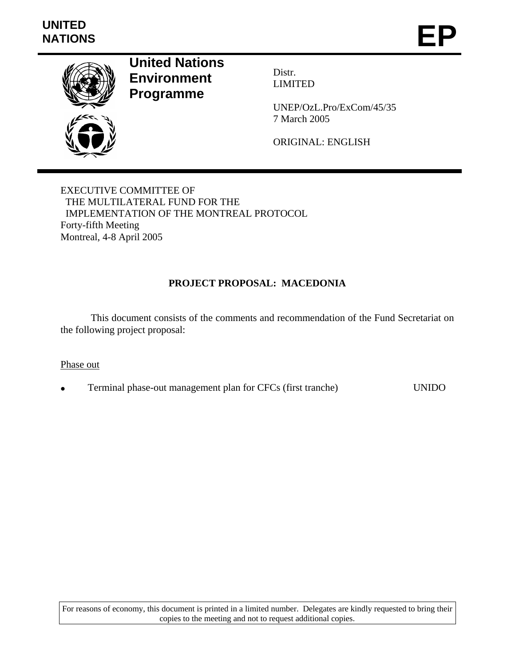

**United Nations Environment Programme** 

Distr. LIMITED

UNEP/OzL.Pro/ExCom/45/35 7 March 2005

ORIGINAL: ENGLISH

EXECUTIVE COMMITTEE OF THE MULTILATERAL FUND FOR THE IMPLEMENTATION OF THE MONTREAL PROTOCOL Forty-fifth Meeting Montreal, 4-8 April 2005

# **PROJECT PROPOSAL: MACEDONIA**

 This document consists of the comments and recommendation of the Fund Secretariat on the following project proposal:

## Phase out

• Terminal phase-out management plan for CFCs (first tranche) UNIDO

For reasons of economy, this document is printed in a limited number. Delegates are kindly requested to bring their copies to the meeting and not to request additional copies.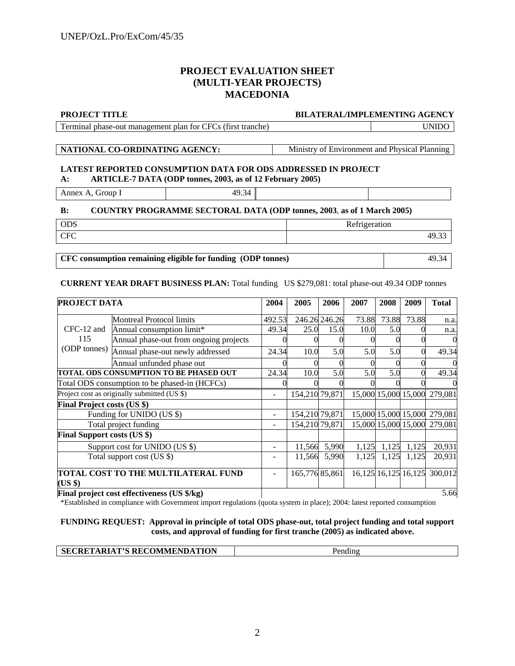## **PROJECT EVALUATION SHEET (MULTI-YEAR PROJECTS) MACEDONIA**

#### **PROJECT TITLE BILATERAL/IMPLEMENTING AGENCY**

Terminal phase-out management plan for CFCs (first tranche) UNIDO

**NATIONAL CO-ORDINATING AGENCY:** Ministry of Environment and Physical Planning

#### **LATEST REPORTED CONSUMPTION DATA FOR ODS ADDRESSED IN PROJECT A: ARTICLE-7 DATA (ODP tonnes, 2003, as of 12 February 2005)**

Annex A, Group I 49.34

### **B: COUNTRY PROGRAMME SECTORAL DATA (ODP tonnes, 2003**, **as of 1 March 2005)**

| <b>ODS</b> | $\sim$ $\sim$<br>$\mathbf{r}$<br>10n<br>$\sim$ $\sim$ $\sim$<br><b>TTCTT</b><br>. |
|------------|-----------------------------------------------------------------------------------|
| <b>CFC</b> | .                                                                                 |

**CFC consumption remaining eligible for funding (ODP tonnes)** 49.34

#### **CURRENT YEAR DRAFT BUSINESS PLAN:** Total funding US \$279,081: total phase-out 49.34 ODP tonnes

| <b>PROJECT DATA</b>                |                                               | 2004           | 2005           | 2006          | 2007  | 2008  | 2009                    | <b>Total</b>                 |
|------------------------------------|-----------------------------------------------|----------------|----------------|---------------|-------|-------|-------------------------|------------------------------|
|                                    | <b>Montreal Protocol limits</b>               | 492.53         |                | 246.26 246.26 | 73.88 | 73.88 | 73.88                   | n.a.                         |
| CFC-12 and                         | Annual consumption limit*                     | 49.34          | 25.0           | 15.0          | 10.0  | 5.0   |                         | n.a.                         |
| 115                                | Annual phase-out from ongoing projects        |                |                |               |       |       |                         | $\theta$                     |
| (ODP tonnes)                       | Annual phase-out newly addressed              | 24.34          | 10.0           | 5.0           | 5.0   | 5.0   |                         | 49.34                        |
|                                    | Annual unfunded phase out                     |                |                |               |       |       |                         |                              |
|                                    | TOTAL ODS CONSUMPTION TO BE PHASED OUT        | 24.34          | 10.0           | 5.0           | 5.0   | 5.0   | 0                       | 49.34                        |
|                                    | Total ODS consumption to be phased-in (HCFCs) |                |                |               |       |       |                         |                              |
|                                    | Project cost as originally submitted (US \$)  | L,             | 154,210 79,871 |               |       |       |                         | 15,000 15,000 15,000 279,081 |
| <b>Final Project costs (US \$)</b> |                                               |                |                |               |       |       |                         |                              |
|                                    | Funding for UNIDO (US \$)                     |                | 154,210 79,871 |               |       |       |                         | 15,000 15,000 15,000 279,081 |
|                                    | Total project funding                         | $\overline{a}$ | 154,210 79,871 |               |       |       |                         | 15,000 15,000 15,000 279,081 |
| <b>Final Support costs (US \$)</b> |                                               |                |                |               |       |       |                         |                              |
|                                    | Support cost for UNIDO (US \$)                |                | 11,566         | 5,990         | 1,125 | 1,125 | 1,125                   | 20,931                       |
|                                    | Total support cost (US \$)                    |                | 11,566         | 5,990         | 1,125 | 1,125 | 1,125                   | 20,931                       |
| (US \$)                            | TOTAL COST TO THE MULTILATERAL FUND           |                | 165,776 85,861 |               |       |       | 16, 125 16, 125 16, 125 | 300,012                      |
|                                    | Final project cost effectiveness (US \$/kg)   |                |                |               |       |       |                         | 5.66                         |

\*Established in compliance with Government import regulations (quota system in place); 2004: latest reported consumption

#### **FUNDING REQUEST: Approval in principle of total ODS phase-out, total project funding and total support costs, and approval of funding for first tranche (2005) as indicated above.**

|--|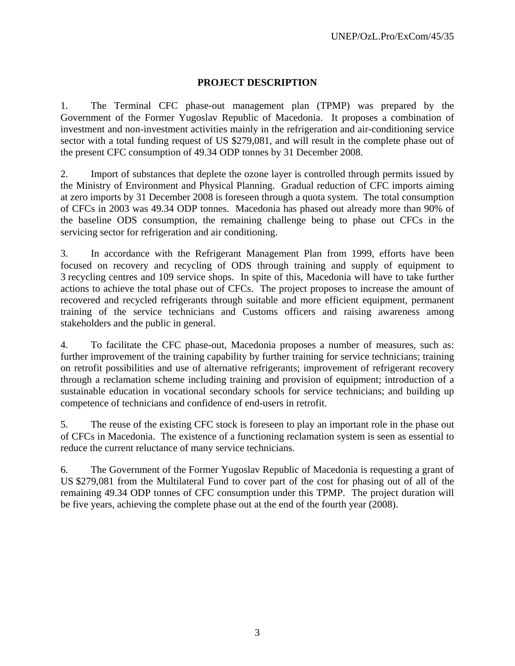# **PROJECT DESCRIPTION**

1. The Terminal CFC phase-out management plan (TPMP) was prepared by the Government of the Former Yugoslav Republic of Macedonia. It proposes a combination of investment and non-investment activities mainly in the refrigeration and air-conditioning service sector with a total funding request of US \$279,081, and will result in the complete phase out of the present CFC consumption of 49.34 ODP tonnes by 31 December 2008.

2. Import of substances that deplete the ozone layer is controlled through permits issued by the Ministry of Environment and Physical Planning. Gradual reduction of CFC imports aiming at zero imports by 31 December 2008 is foreseen through a quota system. The total consumption of CFCs in 2003 was 49.34 ODP tonnes. Macedonia has phased out already more than 90% of the baseline ODS consumption, the remaining challenge being to phase out CFCs in the servicing sector for refrigeration and air conditioning.

3. In accordance with the Refrigerant Management Plan from 1999, efforts have been focused on recovery and recycling of ODS through training and supply of equipment to 3 recycling centres and 109 service shops. In spite of this, Macedonia will have to take further actions to achieve the total phase out of CFCs. The project proposes to increase the amount of recovered and recycled refrigerants through suitable and more efficient equipment, permanent training of the service technicians and Customs officers and raising awareness among stakeholders and the public in general.

4. To facilitate the CFC phase-out, Macedonia proposes a number of measures, such as: further improvement of the training capability by further training for service technicians; training on retrofit possibilities and use of alternative refrigerants; improvement of refrigerant recovery through a reclamation scheme including training and provision of equipment; introduction of a sustainable education in vocational secondary schools for service technicians; and building up competence of technicians and confidence of end-users in retrofit.

5. The reuse of the existing CFC stock is foreseen to play an important role in the phase out of CFCs in Macedonia. The existence of a functioning reclamation system is seen as essential to reduce the current reluctance of many service technicians.

6. The Government of the Former Yugoslav Republic of Macedonia is requesting a grant of US \$279,081 from the Multilateral Fund to cover part of the cost for phasing out of all of the remaining 49.34 ODP tonnes of CFC consumption under this TPMP. The project duration will be five years, achieving the complete phase out at the end of the fourth year (2008).